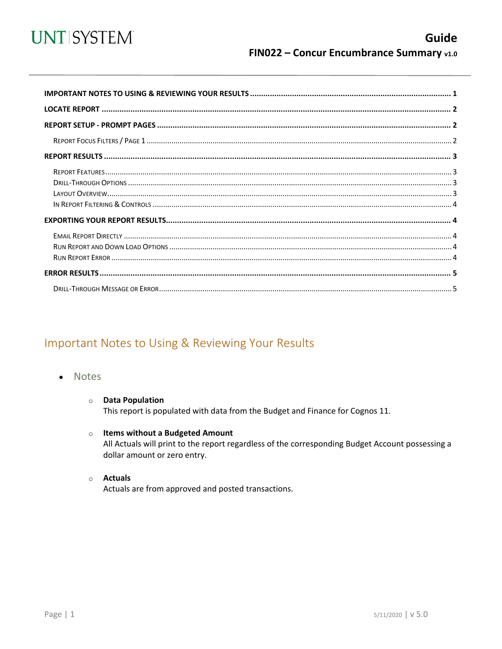

<span id="page-0-0"></span>

# Important Notes to Using & Reviewing Your Results

- **Notes**  $\bullet$ 
	- **O** Data Population This report is populated with data from the Budget and Finance for Cognos 11.
	- $\circ$  Items without a Budgeted Amount All Actuals will print to the report regardless of the corresponding Budget Account possessing a dollar amount or zero entry.
	- o **Actuals** Actuals are from approved and posted transactions.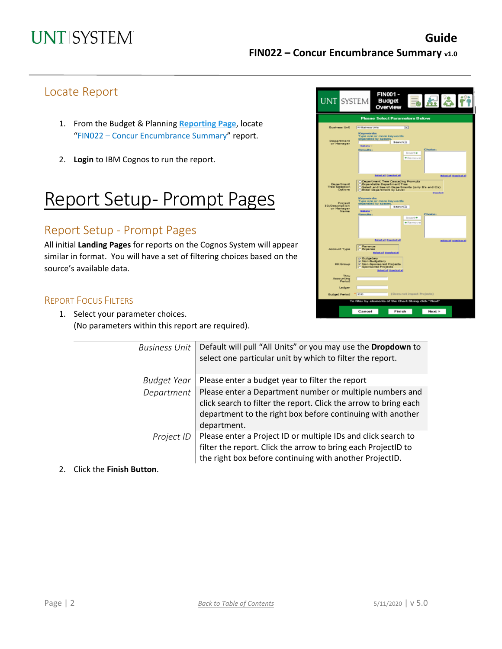# Locate Report

- 1. From the Budget & Planning **[Reporting Page](https://finance.untsystem.edu/reporting)**, locate "FIN022 – Concur Encumbrance Summary" report.
- 2. **Login** to IBM Cognos to run the report.

# Report Setup- Prompt Pages

# Report Setup - Prompt Pages

All initial **Landing Pages** for reports on the Cognos System will appear similar in format. You will have a set of filtering choices based on the source's available data.

#### REPORT FOCUS FILTERS

 $\overline{\phantom{0}}$ 

1. Select your parameter choices. (No parameters within this report are required).

| <b>UNT SYSTEM</b>                                      | <b>FIN001-</b><br><b>Budget</b><br>Overview                                                                                                                                       |  |  |  |  |  |  |  |
|--------------------------------------------------------|-----------------------------------------------------------------------------------------------------------------------------------------------------------------------------------|--|--|--|--|--|--|--|
|                                                        | <b>Please Select Parameters Below</b>                                                                                                                                             |  |  |  |  |  |  |  |
| <b>Business Unit</b>                                   | ☜<br>All Business UNS                                                                                                                                                             |  |  |  |  |  |  |  |
| Department<br>or Hanager                               | <b>Keywords:</b><br>Type one or more keywords<br>separated by spaces.<br>Search(3)<br><b>Dations V</b><br>Choice:<br>Results:<br>Insert +<br>· Remove                             |  |  |  |  |  |  |  |
|                                                        | Infected Genelected<br><b>Statel Island</b>                                                                                                                                       |  |  |  |  |  |  |  |
| <b>Department</b><br>Tree Selection<br>Options         | Department Tree Cascading Prompts<br><b>Bigendable Department Tree</b><br>Select and Search Departments (only B's and C's)<br><b>Shier Department by Level</b><br><b>Deachool</b> |  |  |  |  |  |  |  |
| Project<br><b>ID/Description</b><br>or Manager<br>Name | Keywords:<br>Type one or more keywords<br>separated by spaces<br>Search(3)<br>Gallana <sup>17</sup><br><b>Results:</b><br>Choice:<br>Insert *                                     |  |  |  |  |  |  |  |
|                                                        | · Remove<br><b>Brigat all Question all</b>                                                                                                                                        |  |  |  |  |  |  |  |
| Account Type                                           | <b>Belandall Genelectal</b><br>Revenue<br><b>C</b> Expense<br>Solonial Goachutal                                                                                                  |  |  |  |  |  |  |  |
| <b>KK Group</b>                                        | p Budgetary<br>sy Nen-Budgetary<br>M Non-Sparsored Projects<br><b>E</b> Sponsored Projects<br><b>Balantial Guardonial</b>                                                         |  |  |  |  |  |  |  |
| Thru<br>Aeeounting<br>Period                           |                                                                                                                                                                                   |  |  |  |  |  |  |  |
| Ledger                                                 |                                                                                                                                                                                   |  |  |  |  |  |  |  |
| <b>Budget Period</b>                                   | (Does not impact Projects)<br>* lasas                                                                                                                                             |  |  |  |  |  |  |  |
| To filter by elements of the Chart String click "Next" |                                                                                                                                                                                   |  |  |  |  |  |  |  |
|                                                        | Cancel<br>Finish<br>Next >                                                                                                                                                        |  |  |  |  |  |  |  |

| <b>Business Unit</b> | Default will pull "All Units" or you may use the Dropdown to<br>select one particular unit by which to filter the report.                                                                                 |
|----------------------|-----------------------------------------------------------------------------------------------------------------------------------------------------------------------------------------------------------|
| <b>Budget Year</b>   | Please enter a budget year to filter the report                                                                                                                                                           |
| Department           | Please enter a Department number or multiple numbers and<br>click search to filter the report. Click the arrow to bring each<br>department to the right box before continuing with another<br>department. |
| Project ID           | Please enter a Project ID or multiple IDs and click search to<br>filter the report. Click the arrow to bring each ProjectID to<br>the right box before continuing with another ProjectID.                 |

2. Click the **Finish Button**.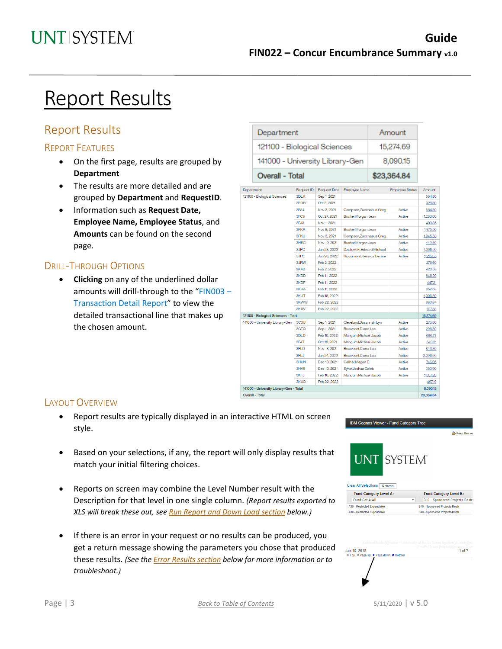Amount

# Report Results

# Report Results

### REPORT FEATURES

- On the first page, results are grouped by **Department**
- The results are more detailed and are grouped by **Department** and **RequestID**.
- Information such as **Request Date, Employee Name, Employee Status**, and **Amounts** can be found on the second page.

### DRILL-THROUGH OPTIONS

• **Clicking** on any of the underlined dollar amounts will drill-through to the "FIN003 – Transaction Detail Report" to view the detailed transactional line that makes up the chosen amount.

|  |                                      | where you can be a second the contract of the                                      |                   |                         |                            |        |                        |           |
|--|--------------------------------------|------------------------------------------------------------------------------------|-------------------|-------------------------|----------------------------|--------|------------------------|-----------|
|  |                                      | 121100 - Biological Sciences<br>141000 - University Library-Gen<br>Overall - Total |                   |                         |                            |        | 15,274.69              |           |
|  |                                      |                                                                                    |                   |                         |                            |        | 8,090.15               |           |
|  |                                      |                                                                                    |                   |                         |                            |        | \$23,364.84            |           |
|  | Department                           |                                                                                    | <b>Request ID</b> | <b>Request Date</b>     | <b>Employee Name</b>       |        | <b>Employee Status</b> | Amount    |
|  |                                      | 121100 - Biological Sciences                                                       | 3DLK              | Sep 1, 2021             |                            |        |                        | 564.80    |
|  |                                      |                                                                                    | 3EGR              | Oct 5, 2021             |                            |        |                        | 328.80    |
|  |                                      | 3F34                                                                               | Nov 3, 2021       | Compson, Zacchaeus Greg |                            | Active | 584.50                 |           |
|  |                                      |                                                                                    | 3FC6              | Oct 27, 2021            | Bucher, Morgan Jean        |        | Active                 | 1,283.00  |
|  |                                      |                                                                                    | 3FJ3              | Nov 1, 2021             |                            |        |                        | 403.85    |
|  |                                      |                                                                                    | 3FKR              | Nov 8, 2021             | Bucher, Morgan Jean        |        | Active                 | 1,975.50  |
|  |                                      |                                                                                    | 3FKU              | Nov 3, 2021             | Compson, Zacchaeus Greg    |        | Active                 | 1,945.50  |
|  |                                      |                                                                                    | 3HEC              | Nov 19, 2021            | Bucher, Morgan Jean        |        | Active                 | 442.50    |
|  |                                      |                                                                                    | 3JPC              | Jan 28, 2022            | Dzialowski, Edward Michael |        | Active                 | 1,066.50  |
|  |                                      |                                                                                    | 3.IPF             | Jan 28, 2022            | Rippamonti, Jessica Denise |        | Active                 | 1,215.65  |
|  |                                      |                                                                                    | 3JRW              | Feb 2, 2022             |                            |        |                        | 276.60    |
|  |                                      |                                                                                    | 3K4D              | Feb 2, 2022             |                            |        |                        | 423.53    |
|  |                                      |                                                                                    | 3KDD              | Feb 11, 2022            |                            |        |                        | 846.20    |
|  |                                      |                                                                                    | 3KDF              | Feb 11, 2022            |                            |        |                        | 447.21    |
|  |                                      |                                                                                    | 3KHA              | Feb 11, 2022            |                            |        |                        | 852.58    |
|  |                                      |                                                                                    | <b>3KUT</b>       | Feb 18, 2022            |                            |        |                        | 1,006.30  |
|  |                                      |                                                                                    | <b>3KWW</b>       | Feb 22, 2022            |                            |        |                        | 883.84    |
|  |                                      |                                                                                    | 3KXV              | Feb 22, 2022            |                            |        |                        | 727.83    |
|  | 121100 - Biological Sciences - Total |                                                                                    |                   |                         |                            |        |                        | 15,274.69 |
|  |                                      | 141000 - University Library-Gen                                                    | 3C3U              | Sep 1, 2021             | Cleveland, Susannah Lyn    |        | Active                 | 276.80    |
|  |                                      |                                                                                    | 3CTQ              | Sep 1, 2021             | Bruxvoort,Diane Lea        |        | Active                 | 296.80    |
|  |                                      |                                                                                    | 3DLD              | Feb 10, 2022            | Mangum, Michael Jacob      |        | Active                 | 696.73    |
|  |                                      |                                                                                    | 3F4T              | Oct 18, 2021            | Mangum, Michael Jacob      |        | Active                 | 648.21    |
|  |                                      |                                                                                    | 3FLD              | Nov 18, 2021            | Bruxvoort,Diane Lea        |        | Active                 | 843.30    |
|  |                                      |                                                                                    | 3FLJ              | Jan 24, 2022            | Bruxvoort.Diane Lea        |        | Active                 | 2,096.96  |
|  |                                      |                                                                                    | 3HUN              | Dec 10, 2021            | Gellner, Megan E.          |        | Active                 | 746.06    |
|  |                                      |                                                                                    | 3HV9              | Dec 10, 2021            | Sylve, Joshua Caleb        |        | Active                 | 350.90    |
|  |                                      |                                                                                    | 3KFJ              | Feb 10, 2022            | Mangum, Michael Jacob      |        | Active                 | 1,637.20  |
|  |                                      |                                                                                    | 3KXQ              | Feb 22, 2022            |                            |        |                        | 497.19    |
|  |                                      |                                                                                    |                   |                         |                            |        |                        |           |

Overall - Total

Department

#### LAYOUT OVERVIEW

- Report results are typically displayed in an interactive HTML on screen style.
- Based on your selections, if any, the report will only display results that match your initial filtering choices.
- Reports on screen may combine the Level Number result with the Description for that level in one single column. *(Report results exported to XLS will break these out, see Run Report and Down Load section below.)*
- If there is an error in your request or no results can be produced, you get a return message showing the parameters you chose that produced these results. *(See th[e Error Results section](#page-4-0) below for more information or to troubleshoot.)*



23,364.84

| Clear All Selections<br>Refresh |                                |
|---------------------------------|--------------------------------|
| <b>Fund Category Level A:</b>   | <b>Fund Category Level B:</b>  |
| Fund Cat A All                  | B40 - Sponsored Projects-Restr |
| A30 - Restricted Expendable     | B40 - Sponsored Projects-Restr |
| A30 - Restricted Expendable     | B40 - Sponsored Projects-Restr |

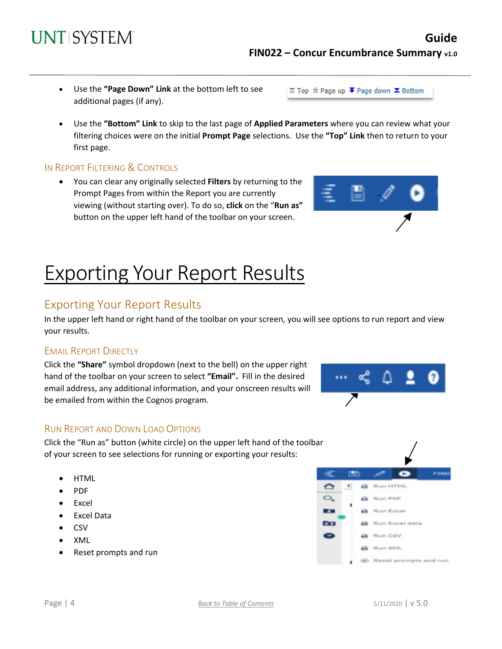#### • Excel • Excel Data

• HTML • PDF

- 
- CSV
- XML
- Reset prompts and run

RUN REPORT AND DOWN LOAD OPTIONS

Click the "Run as" button (white circle) on the upper left hand of the toolbar of your screen to see selections for running or exporting your results:

## In the upper left hand or right hand of the toolbar on your screen, you will see options to run report and view your results.

Exporting Your Report Results

## EMAIL REPORT DIRECTLY

Click the **"Share"** symbol dropdown (next to the bell) on the upper right hand of the toolbar on your screen to select **"Email".** Fill in the desired email address, any additional information, and your onscreen results will be emailed from within the Cognos program.

# **FIN022 – Concur Encumbrance Summary v1.0**

 $\overline{\sim}$  Top  $\stackrel{\frown}{\sim}$  Page up  $\overline{\bullet}$  Page down  $\overline{\bullet}$  Bottom



### IN REPORT FILTERING & CONTROLS

additional pages (if any).

**UNTISYSTEM** 

• You can clear any originally selected **Filters** by returning to the Prompt Pages from within the Report you are currently viewing (without starting over). To do so, **click** on the "**Run as"**  button on the upper left hand of the toolbar on your screen.

Exporting Your Report Results

• Use the **"Page Down" Link** at the bottom left to see







**Guide**